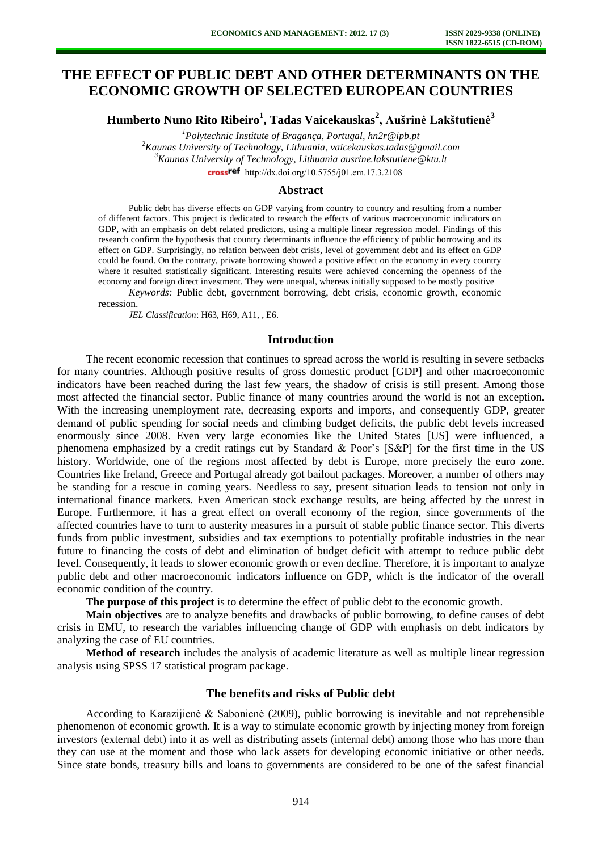# **THE EFFECT OF PUBLIC DEBT AND OTHER DETERMINANTS ON THE ECONOMIC GROWTH OF SELECTED EUROPEAN COUNTRIES**

**Humberto Nuno Rito Ribeiro<sup>1</sup> , Tadas Vaicekauskas<sup>2</sup> , Aušrinė Lakštutienė<sup>3</sup>**

*Polytechnic Institute of Bragança, Portugal, [hn2r@ipb.pt](mailto:hn2r@ipb.pt) Kaunas University of Technology, Lithuania, [vaicekauskas.tadas@gmail.com](mailto:vaicekauskas.tadas@gmail.com) Kaunas University of Technology, Lithuania [ausrine.lakstutiene@ktu.lt](mailto:ausrine.lakstutiene@ktu.lt)*  crossref [http://dx.doi.org/10.5755/j01.e](http://dx.doi.org/10.5755/j01.em.17.3.2108)m.17.3.2108

#### **Abstract**

Public debt has diverse effects on GDP varying from country to country and resulting from a number of different factors. This project is dedicated to research the effects of various macroeconomic indicators on GDP, with an emphasis on debt related predictors, using a multiple linear regression model. Findings of this research confirm the hypothesis that country determinants influence the efficiency of public borrowing and its effect on GDP. Surprisingly, no relation between debt crisis, level of government debt and its effect on GDP could be found. On the contrary, private borrowing showed a positive effect on the economy in every country where it resulted statistically significant. Interesting results were achieved concerning the openness of the economy and foreign direct investment. They were unequal, whereas initially supposed to be mostly positive

*Keywords:* Public debt, government borrowing, debt crisis, economic growth, economic recession.

*JEL Classification*: H63, H69, A11, , E6.

#### **Introduction**

The recent economic recession that continues to spread across the world is resulting in severe setbacks for many countries. Although positive results of gross domestic product [GDP] and other macroeconomic indicators have been reached during the last few years, the shadow of crisis is still present. Among those most affected the financial sector. Public finance of many countries around the world is not an exception. With the increasing unemployment rate, decreasing exports and imports, and consequently GDP, greater demand of public spending for social needs and climbing budget deficits, the public debt levels increased enormously since 2008. Even very large economies like the United States [US] were influenced, a phenomena emphasized by a credit ratings cut by Standard & Poor's [S&P] for the first time in the US history. Worldwide, one of the regions most affected by debt is Europe, more precisely the euro zone. Countries like Ireland, Greece and Portugal already got bailout packages. Moreover, a number of others may be standing for a rescue in coming years. Needless to say, present situation leads to tension not only in international finance markets. Even American stock exchange results, are being affected by the unrest in Europe. Furthermore, it has a great effect on overall economy of the region, since governments of the affected countries have to turn to austerity measures in a pursuit of stable public finance sector. This diverts funds from public investment, subsidies and tax exemptions to potentially profitable industries in the near future to financing the costs of debt and elimination of budget deficit with attempt to reduce public debt level. Consequently, it leads to slower economic growth or even decline. Therefore, it is important to analyze public debt and other macroeconomic indicators influence on GDP, which is the indicator of the overall economic condition of the country.

**The purpose of this project** is to determine the effect of public debt to the economic growth.

**Main objectives** are to analyze benefits and drawbacks of public borrowing, to define causes of debt crisis in EMU, to research the variables influencing change of GDP with emphasis on debt indicators by analyzing the case of EU countries.

**Method of research** includes the analysis of academic literature as well as multiple linear regression analysis using SPSS 17 statistical program package.

## **The benefits and risks of Public debt**

According to Karazijienė & Sabonienė (2009), public borrowing is inevitable and not reprehensible phenomenon of economic growth. It is a way to stimulate economic growth by injecting money from foreign investors (external debt) into it as well as distributing assets (internal debt) among those who has more than they can use at the moment and those who lack assets for developing economic initiative or other needs. Since state bonds, treasury bills and loans to governments are considered to be one of the safest financial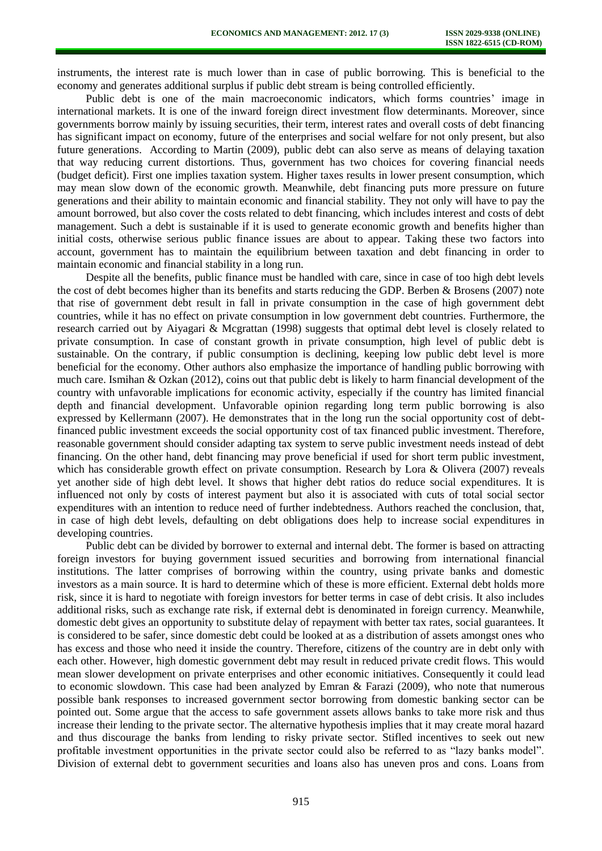instruments, the interest rate is much lower than in case of public borrowing. This is beneficial to the economy and generates additional surplus if public debt stream is being controlled efficiently.

Public debt is one of the main macroeconomic indicators, which forms countries' image in international markets. It is one of the inward foreign direct investment flow determinants. Moreover, since governments borrow mainly by issuing securities, their term, interest rates and overall costs of debt financing has significant impact on economy, future of the enterprises and social welfare for not only present, but also future generations. According to Martin (2009), public debt can also serve as means of delaying taxation that way reducing current distortions. Thus, government has two choices for covering financial needs (budget deficit). First one implies taxation system. Higher taxes results in lower present consumption, which may mean slow down of the economic growth. Meanwhile, debt financing puts more pressure on future generations and their ability to maintain economic and financial stability. They not only will have to pay the amount borrowed, but also cover the costs related to debt financing, which includes interest and costs of debt management. Such a debt is sustainable if it is used to generate economic growth and benefits higher than initial costs, otherwise serious public finance issues are about to appear. Taking these two factors into account, government has to maintain the equilibrium between taxation and debt financing in order to maintain economic and financial stability in a long run.

Despite all the benefits, public finance must be handled with care, since in case of too high debt levels the cost of debt becomes higher than its benefits and starts reducing the GDP. Berben & Brosens (2007) note that rise of government debt result in fall in private consumption in the case of high government debt countries, while it has no effect on private consumption in low government debt countries. Furthermore, the research carried out by Aiyagari & Mcgrattan (1998) suggests that optimal debt level is closely related to private consumption. In case of constant growth in private consumption, high level of public debt is sustainable. On the contrary, if public consumption is declining, keeping low public debt level is more beneficial for the economy. Other authors also emphasize the importance of handling public borrowing with much care. Ismihan & Ozkan (2012), coins out that public debt is likely to harm financial development of the country with unfavorable implications for economic activity, especially if the country has limited financial depth and financial development. Unfavorable opinion regarding long term public borrowing is also expressed by Kellermann (2007). He demonstrates that in the long run the social opportunity cost of debtfinanced public investment exceeds the social opportunity cost of tax financed public investment. Therefore, reasonable government should consider adapting tax system to serve public investment needs instead of debt financing. On the other hand, debt financing may prove beneficial if used for short term public investment, which has considerable growth effect on private consumption. Research by Lora & Olivera (2007) reveals yet another side of high debt level. It shows that higher debt ratios do reduce social expenditures. It is influenced not only by costs of interest payment but also it is associated with cuts of total social sector expenditures with an intention to reduce need of further indebtedness. Authors reached the conclusion, that, in case of high debt levels, defaulting on debt obligations does help to increase social expenditures in developing countries.

Public debt can be divided by borrower to external and internal debt. The former is based on attracting foreign investors for buying government issued securities and borrowing from international financial institutions. The latter comprises of borrowing within the country, using private banks and domestic investors as a main source. It is hard to determine which of these is more efficient. External debt holds more risk, since it is hard to negotiate with foreign investors for better terms in case of debt crisis. It also includes additional risks, such as exchange rate risk, if external debt is denominated in foreign currency. Meanwhile, domestic debt gives an opportunity to substitute delay of repayment with better tax rates, social guarantees. It is considered to be safer, since domestic debt could be looked at as a distribution of assets amongst ones who has excess and those who need it inside the country. Therefore, citizens of the country are in debt only with each other. However, high domestic government debt may result in reduced private credit flows. This would mean slower development on private enterprises and other economic initiatives. Consequently it could lead to economic slowdown. This case had been analyzed by Emran & Farazi (2009), who note that numerous possible bank responses to increased government sector borrowing from domestic banking sector can be pointed out. Some argue that the access to safe government assets allows banks to take more risk and thus increase their lending to the private sector. The alternative hypothesis implies that it may create moral hazard and thus discourage the banks from lending to risky private sector. Stifled incentives to seek out new profitable investment opportunities in the private sector could also be referred to as "lazy banks model". Division of external debt to government securities and loans also has uneven pros and cons. Loans from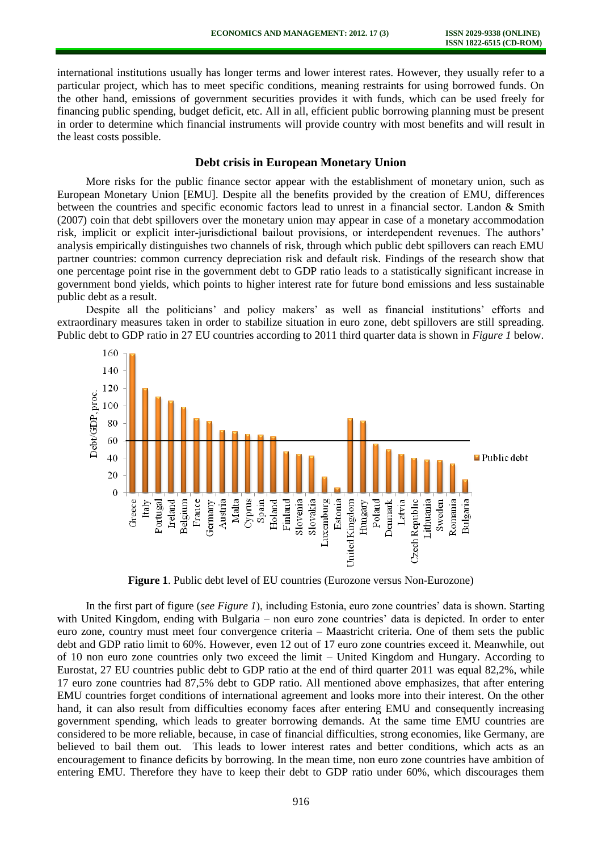international institutions usually has longer terms and lower interest rates. However, they usually refer to a particular project, which has to meet specific conditions, meaning restraints for using borrowed funds. On the other hand, emissions of government securities provides it with funds, which can be used freely for financing public spending, budget deficit, etc. All in all, efficient public borrowing planning must be present in order to determine which financial instruments will provide country with most benefits and will result in the least costs possible.

## **Debt crisis in European Monetary Union**

More risks for the public finance sector appear with the establishment of monetary union, such as European Monetary Union [EMU]. Despite all the benefits provided by the creation of EMU, differences between the countries and specific economic factors lead to unrest in a financial sector. Landon & Smith (2007) coin that debt spillovers over the monetary union may appear in case of a monetary accommodation risk, implicit or explicit inter-jurisdictional bailout provisions, or interdependent revenues. The authors' analysis empirically distinguishes two channels of risk, through which public debt spillovers can reach EMU partner countries: common currency depreciation risk and default risk. Findings of the research show that one percentage point rise in the government debt to GDP ratio leads to a statistically significant increase in government bond yields, which points to higher interest rate for future bond emissions and less sustainable public debt as a result.

Despite all the politicians' and policy makers' as well as financial institutions' efforts and extraordinary measures taken in order to stabilize situation in euro zone, debt spillovers are still spreading. Public debt to GDP ratio in 27 EU countries according to 2011 third quarter data is shown in *Figure 1* below.



**Figure 1**. Public debt level of EU countries (Eurozone versus Non-Eurozone)

In the first part of figure (*see Figure 1*), including Estonia, euro zone countries' data is shown. Starting with United Kingdom, ending with Bulgaria – non euro zone countries' data is depicted. In order to enter euro zone, country must meet four convergence criteria – Maastricht criteria. One of them sets the public debt and GDP ratio limit to 60%. However, even 12 out of 17 euro zone countries exceed it. Meanwhile, out of 10 non euro zone countries only two exceed the limit – United Kingdom and Hungary. According to Eurostat, 27 EU countries public debt to GDP ratio at the end of third quarter 2011 was equal 82,2%, while 17 euro zone countries had 87,5% debt to GDP ratio. All mentioned above emphasizes, that after entering EMU countries forget conditions of international agreement and looks more into their interest. On the other hand, it can also result from difficulties economy faces after entering EMU and consequently increasing government spending, which leads to greater borrowing demands. At the same time EMU countries are considered to be more reliable, because, in case of financial difficulties, strong economies, like Germany, are believed to bail them out. This leads to lower interest rates and better conditions, which acts as an encouragement to finance deficits by borrowing. In the mean time, non euro zone countries have ambition of entering EMU. Therefore they have to keep their debt to GDP ratio under 60%, which discourages them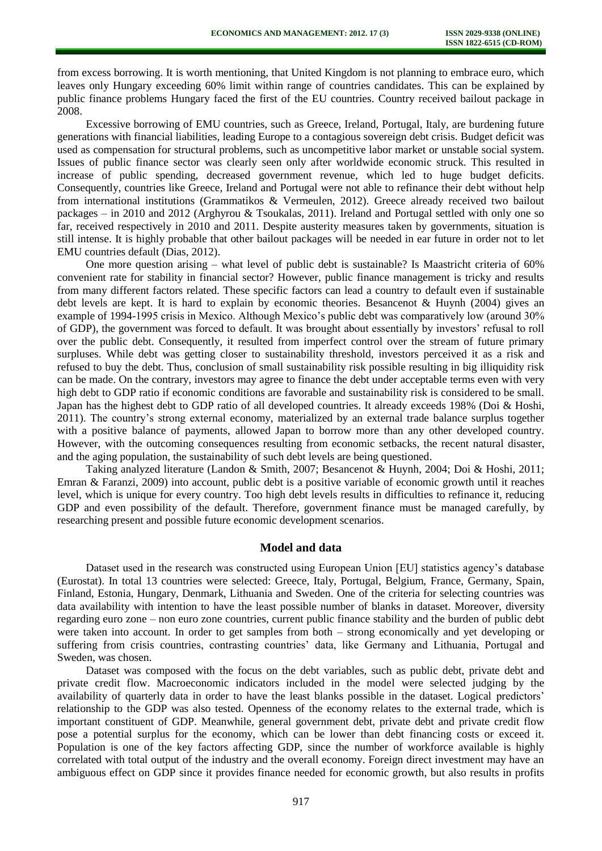from excess borrowing. It is worth mentioning, that United Kingdom is not planning to embrace euro, which leaves only Hungary exceeding 60% limit within range of countries candidates. This can be explained by public finance problems Hungary faced the first of the EU countries. Country received bailout package in 2008.

Excessive borrowing of EMU countries, such as Greece, Ireland, Portugal, Italy, are burdening future generations with financial liabilities, leading Europe to a contagious sovereign debt crisis. Budget deficit was used as compensation for structural problems, such as uncompetitive labor market or unstable social system. Issues of public finance sector was clearly seen only after worldwide economic struck. This resulted in increase of public spending, decreased government revenue, which led to huge budget deficits. Consequently, countries like Greece, Ireland and Portugal were not able to refinance their debt without help from international institutions (Grammatikos & Vermeulen, 2012). Greece already received two bailout packages – in 2010 and 2012 (Arghyrou & Tsoukalas, 2011). Ireland and Portugal settled with only one so far, received respectively in 2010 and 2011. Despite austerity measures taken by governments, situation is still intense. It is highly probable that other bailout packages will be needed in ear future in order not to let EMU countries default (Dias, 2012).

One more question arising – what level of public debt is sustainable? Is Maastricht criteria of 60% convenient rate for stability in financial sector? However, public finance management is tricky and results from many different factors related. These specific factors can lead a country to default even if sustainable debt levels are kept. It is hard to explain by economic theories. Besancenot & Huynh (2004) gives an example of 1994-1995 crisis in Mexico. Although Mexico's public debt was comparatively low (around 30% of GDP), the government was forced to default. It was brought about essentially by investors' refusal to roll over the public debt. Consequently, it resulted from imperfect control over the stream of future primary surpluses. While debt was getting closer to sustainability threshold, investors perceived it as a risk and refused to buy the debt. Thus, conclusion of small sustainability risk possible resulting in big illiquidity risk can be made. On the contrary, investors may agree to finance the debt under acceptable terms even with very high debt to GDP ratio if economic conditions are favorable and sustainability risk is considered to be small. Japan has the highest debt to GDP ratio of all developed countries. It already exceeds 198% (Doi & Hoshi, 2011). The country's strong external economy, materialized by an external trade balance surplus together with a positive balance of payments, allowed Japan to borrow more than any other developed country. However, with the outcoming consequences resulting from economic setbacks, the recent natural disaster, and the aging population, the sustainability of such debt levels are being questioned.

Taking analyzed literature (Landon & Smith, 2007; Besancenot & Huynh, 2004; Doi & Hoshi, 2011; Emran & Faranzi, 2009) into account, public debt is a positive variable of economic growth until it reaches level, which is unique for every country. Too high debt levels results in difficulties to refinance it, reducing GDP and even possibility of the default. Therefore, government finance must be managed carefully, by researching present and possible future economic development scenarios.

### **Model and data**

Dataset used in the research was constructed using European Union [EU] statistics agency's database (Eurostat). In total 13 countries were selected: Greece, Italy, Portugal, Belgium, France, Germany, Spain, Finland, Estonia, Hungary, Denmark, Lithuania and Sweden. One of the criteria for selecting countries was data availability with intention to have the least possible number of blanks in dataset. Moreover, diversity regarding euro zone – non euro zone countries, current public finance stability and the burden of public debt were taken into account. In order to get samples from both – strong economically and yet developing or suffering from crisis countries, contrasting countries' data, like Germany and Lithuania, Portugal and Sweden, was chosen.

Dataset was composed with the focus on the debt variables, such as public debt, private debt and private credit flow. Macroeconomic indicators included in the model were selected judging by the availability of quarterly data in order to have the least blanks possible in the dataset. Logical predictors' relationship to the GDP was also tested. Openness of the economy relates to the external trade, which is important constituent of GDP. Meanwhile, general government debt, private debt and private credit flow pose a potential surplus for the economy, which can be lower than debt financing costs or exceed it. Population is one of the key factors affecting GDP, since the number of workforce available is highly correlated with total output of the industry and the overall economy. Foreign direct investment may have an ambiguous effect on GDP since it provides finance needed for economic growth, but also results in profits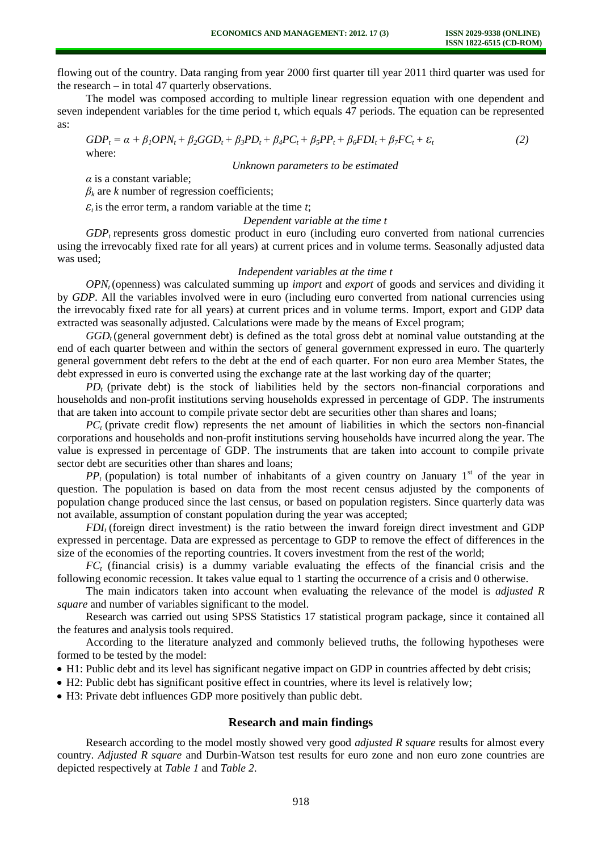flowing out of the country. Data ranging from year 2000 first quarter till year 2011 third quarter was used for the research – in total 47 quarterly observations.

The model was composed according to multiple linear regression equation with one dependent and seven independent variables for the time period t, which equals 47 periods. The equation can be represented as:

 $GDP_t = \alpha + \beta_1 OPN_t + \beta_2 GGD_t + \beta_3 PD_t + \beta_4 PC_t + \beta_5 PP_t + \beta_6 FDI_t + \beta_7 FC_t + \varepsilon_t$  (2) where:

*Unknown parameters to be estimated* 

*α* is a constant variable;

 $\beta_k$  are *k* number of regression coefficients;

 $\epsilon_t$  is the error term, a random variable at the time *t*;

*Dependent variable at the time t* 

*GDP<sup>t</sup>* represents gross domestic product in euro (including euro converted from national currencies using the irrevocably fixed rate for all years) at current prices and in volume terms. Seasonally adjusted data was used;

#### *Independent variables at the time t*

*OPNt* (openness) was calculated summing up *import* and *export* of goods and services and dividing it by *GDP*. All the variables involved were in euro (including euro converted from national currencies using the irrevocably fixed rate for all years) at current prices and in volume terms. Import, export and GDP data extracted was seasonally adjusted. Calculations were made by the means of Excel program;

GGD<sub>t</sub> (general government debt) is defined as the total gross debt at nominal value outstanding at the end of each quarter between and within the sectors of general government expressed in euro. The quarterly general government debt refers to the debt at the end of each quarter. For non euro area Member States, the debt expressed in euro is converted using the exchange rate at the last working day of the quarter;

 $PD_t$  (private debt) is the stock of liabilities held by the sectors non-financial corporations and households and non-profit institutions serving households expressed in percentage of GDP. The instruments that are taken into account to compile private sector debt are securities other than shares and loans;

*PC*<sub>t</sub> (private credit flow) represents the net amount of liabilities in which the sectors non-financial corporations and households and non-profit institutions serving households have incurred along the year. The value is expressed in percentage of GDP. The instruments that are taken into account to compile private sector debt are securities other than shares and loans;

 $PP$  (population) is total number of inhabitants of a given country on January  $1<sup>st</sup>$  of the year in question. The population is based on data from the most recent census adjusted by the components of population change produced since the last census, or based on population registers. Since quarterly data was not available, assumption of constant population during the year was accepted;

*FDIi* (foreign direct investment) is the ratio between the inward foreign direct investment and GDP expressed in percentage. Data are expressed as percentage to GDP to remove the effect of differences in the size of the economies of the reporting countries. It covers investment from the rest of the world;

*FC<sup>t</sup>* (financial crisis) is a dummy variable evaluating the effects of the financial crisis and the following economic recession. It takes value equal to 1 starting the occurrence of a crisis and 0 otherwise.

The main indicators taken into account when evaluating the relevance of the model is *adjusted R square* and number of variables significant to the model.

Research was carried out using SPSS Statistics 17 statistical program package, since it contained all the features and analysis tools required.

According to the literature analyzed and commonly believed truths, the following hypotheses were formed to be tested by the model:

- H1: Public debt and its level has significant negative impact on GDP in countries affected by debt crisis;
- H2: Public debt has significant positive effect in countries, where its level is relatively low;

H3: Private debt influences GDP more positively than public debt.

## **Research and main findings**

Research according to the model mostly showed very good *adjusted R square* results for almost every country. *Adjusted R square* and Durbin-Watson test results for euro zone and non euro zone countries are depicted respectively at *Table 1* and *Table 2*.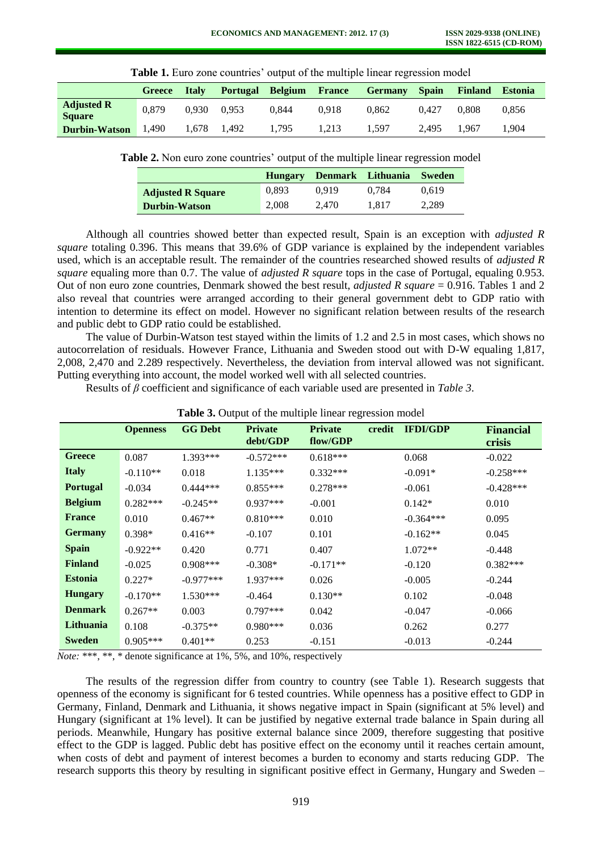|                                    |        |              |                 | <b>THEIR IS DUTY LOTE COUNTING OUTPUT OF THE HIGHLIPIC HILCH TO A CONTRACT</b> |               |                |              |                |                |
|------------------------------------|--------|--------------|-----------------|--------------------------------------------------------------------------------|---------------|----------------|--------------|----------------|----------------|
|                                    | Greece | <b>Italy</b> | <b>Portugal</b> | Belgium                                                                        | <b>France</b> | <b>Germany</b> | <b>Spain</b> | <b>Finland</b> | <b>Estonia</b> |
| <b>Adjusted R</b><br><b>Square</b> | 0.879  | 0.930        | 0.953           | 0.844                                                                          | 0.918         | 0.862          | 0.427        | 0.808          | 0.856          |
| <b>Durbin-Watson</b>               | 1.490  | 1.678        | 1.492           | 1.795                                                                          | . 213         | . 597          | 2.495        | 1.967          | .904           |

**Table 1.** Euro zone countries' output of the multiple linear regression model

**Table 2.** Non euro zone countries' output of the multiple linear regression model

|                          | <b>Hungary</b> | Denmark Lithuania |       | <b>Sweden</b> |
|--------------------------|----------------|-------------------|-------|---------------|
| <b>Adjusted R Square</b> | 0.893          | 0.919             | 0.784 | 0.619         |
| <b>Durbin-Watson</b>     | 2.008          | 2.470             | 1.817 | 2.289         |

Although all countries showed better than expected result, Spain is an exception with *adjusted R square* totaling 0.396. This means that 39.6% of GDP variance is explained by the independent variables used, which is an acceptable result. The remainder of the countries researched showed results of *adjusted R square* equaling more than 0.7. The value of *adjusted R square* tops in the case of Portugal, equaling 0.953. Out of non euro zone countries, Denmark showed the best result, *adjusted R square* = 0.916. Tables 1 and 2 also reveal that countries were arranged according to their general government debt to GDP ratio with intention to determine its effect on model. However no significant relation between results of the research and public debt to GDP ratio could be established.

The value of Durbin-Watson test stayed within the limits of 1.2 and 2.5 in most cases, which shows no autocorrelation of residuals. However France, Lithuania and Sweden stood out with D-W equaling 1,817, 2,008, 2,470 and 2.289 respectively. Nevertheless, the deviation from interval allowed was not significant. Putting everything into account, the model worked well with all selected countries.

Results of *β* coefficient and significance of each variable used are presented in *Table 3*.

|                 | <b>Openness</b> | <b>GG Debt</b> | <b>Private</b><br>debt/GDP | <b>Private</b><br>credit<br>flow/GDP | <b>IFDI/GDP</b> | <b>Financial</b><br>crisis |
|-----------------|-----------------|----------------|----------------------------|--------------------------------------|-----------------|----------------------------|
| Greece          | 0.087           | $1.393***$     | $-0.572***$                | $0.618***$                           | 0.068           | $-0.022$                   |
| <b>Italy</b>    | $-0.110**$      | 0.018          | $1.135***$                 | $0.332***$                           | $-0.091*$       | $-0.258***$                |
| <b>Portugal</b> | $-0.034$        | $0.444***$     | $0.855***$                 | $0.278***$                           | $-0.061$        | $-0.428***$                |
| <b>Belgium</b>  | $0.282***$      | $-0.245**$     | $0.937***$                 | $-0.001$                             | $0.142*$        | 0.010                      |
| <b>France</b>   | 0.010           | $0.467**$      | $0.810***$                 | 0.010                                | $-0.364***$     | 0.095                      |
| <b>Germany</b>  | $0.398*$        | $0.416**$      | $-0.107$                   | 0.101                                | $-0.162**$      | 0.045                      |
| <b>Spain</b>    | $-0.922**$      | 0.420          | 0.771                      | 0.407                                | $1.072**$       | $-0.448$                   |
| <b>Finland</b>  | $-0.025$        | $0.908***$     | $-0.308*$                  | $-0.171**$                           | $-0.120$        | $0.382***$                 |
| <b>Estonia</b>  | $0.227*$        | $-0.977***$    | $1.937***$                 | 0.026                                | $-0.005$        | $-0.244$                   |
| <b>Hungary</b>  | $-0.170**$      | $1.530***$     | $-0.464$                   | $0.130**$                            | 0.102           | $-0.048$                   |
| <b>Denmark</b>  | $0.267**$       | 0.003          | $0.797***$                 | 0.042                                | $-0.047$        | $-0.066$                   |
| Lithuania       | 0.108           | $-0.375**$     | $0.980***$                 | 0.036                                | 0.262           | 0.277                      |
| <b>Sweden</b>   | $0.905***$      | $0.401**$      | 0.253                      | $-0.151$                             | $-0.013$        | $-0.244$                   |

**Table 3.** Output of the multiple linear regression model

*Note:* \*\*\*, \*\*, \* denote significance at 1%, 5%, and 10%, respectively

The results of the regression differ from country to country (see Table 1). Research suggests that openness of the economy is significant for 6 tested countries. While openness has a positive effect to GDP in Germany, Finland, Denmark and Lithuania, it shows negative impact in Spain (significant at 5% level) and Hungary (significant at 1% level). It can be justified by negative external trade balance in Spain during all periods. Meanwhile, Hungary has positive external balance since 2009, therefore suggesting that positive effect to the GDP is lagged. Public debt has positive effect on the economy until it reaches certain amount, when costs of debt and payment of interest becomes a burden to economy and starts reducing GDP. The research supports this theory by resulting in significant positive effect in Germany, Hungary and Sweden –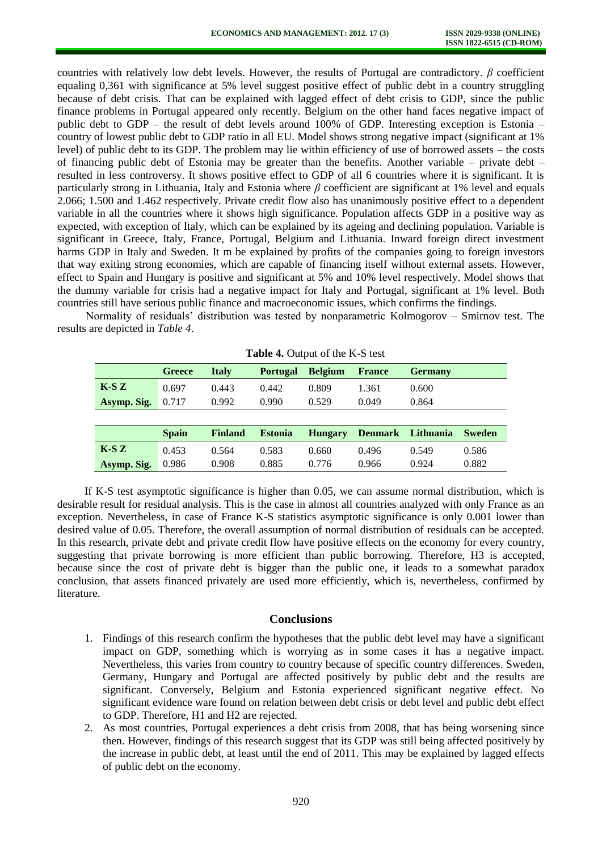countries with relatively low debt levels. However, the results of Portugal are contradictory. *β* coefficient equaling 0,361 with significance at 5% level suggest positive effect of public debt in a country struggling because of debt crisis. That can be explained with lagged effect of debt crisis to GDP, since the public finance problems in Portugal appeared only recently. Belgium on the other hand faces negative impact of public debt to GDP – the result of debt levels around 100% of GDP. Interesting exception is Estonia – country of lowest public debt to GDP ratio in all EU. Model shows strong negative impact (significant at 1% level) of public debt to its GDP. The problem may lie within efficiency of use of borrowed assets – the costs of financing public debt of Estonia may be greater than the benefits. Another variable – private debt – resulted in less controversy. It shows positive effect to GDP of all 6 countries where it is significant. It is particularly strong in Lithuania, Italy and Estonia where *β* coefficient are significant at 1% level and equals 2.066; 1.500 and 1.462 respectively. Private credit flow also has unanimously positive effect to a dependent variable in all the countries where it shows high significance. Population affects GDP in a positive way as expected, with exception of Italy, which can be explained by its ageing and declining population. Variable is significant in Greece, Italy, France, Portugal, Belgium and Lithuania. Inward foreign direct investment harms GDP in Italy and Sweden. It m be explained by profits of the companies going to foreign investors that way exiting strong economies, which are capable of financing itself without external assets. However, effect to Spain and Hungary is positive and significant at 5% and 10% level respectively. Model shows that the dummy variable for crisis had a negative impact for Italy and Portugal, significant at 1% level. Both countries still have serious public finance and macroeconomic issues, which confirms the findings.

Normality of residuals' distribution was tested by nonparametric [Kolmogorov](http://en.wikipedia.org/wiki/Andrey_Kolmogorov) – [Smirnov](http://en.wikipedia.org/wiki/Nikolai_Smirnov_(mathematician)) test. The results are depicted in *Table 4*.

| <b>rapic +.</b> Output of the K-D test |               |                |                 |                |                |                |               |
|----------------------------------------|---------------|----------------|-----------------|----------------|----------------|----------------|---------------|
|                                        | <b>Greece</b> | <b>Italy</b>   | <b>Portugal</b> | <b>Belgium</b> | <b>France</b>  | <b>Germany</b> |               |
| $K-SZ$                                 | 0.697         | 0.443          | 0.442           | 0.809          | 1.361          | 0.600          |               |
| Asymp. Sig.                            | 0.717         | 0.992          | 0.990           | 0.529          | 0.049          | 0.864          |               |
|                                        |               |                |                 |                |                |                |               |
|                                        | <b>Spain</b>  | <b>Finland</b> | <b>Estonia</b>  | <b>Hungary</b> | <b>Denmark</b> | Lithuania      | <b>Sweden</b> |
| $K-SZ$                                 | 0.453         | 0.564          | 0.583           | 0.660          | 0.496          | 0.549          | 0.586         |
| Asymp. Sig.                            | 0.986         | 0.908          | 0.885           | 0.776          | 0.966          | 0.924          | 0.882         |

**Table 4. Output of the K-S test** 

If K-S test asymptotic significance is higher than 0.05, we can assume normal distribution, which is desirable result for residual analysis. This is the case in almost all countries analyzed with only France as an exception. Nevertheless, in case of France K-S statistics asymptotic significance is only 0.001 lower than desired value of 0.05. Therefore, the overall assumption of normal distribution of residuals can be accepted. In this research, private debt and private credit flow have positive effects on the economy for every country, suggesting that private borrowing is more efficient than public borrowing. Therefore, H3 is accepted, because since the cost of private debt is bigger than the public one, it leads to a somewhat paradox conclusion, that assets financed privately are used more efficiently, which is, nevertheless, confirmed by literature.

#### **Conclusions**

- 1. Findings of this research confirm the hypotheses that the public debt level may have a significant impact on GDP, something which is worrying as in some cases it has a negative impact. Nevertheless, this varies from country to country because of specific country differences. Sweden, Germany, Hungary and Portugal are affected positively by public debt and the results are significant. Conversely, Belgium and Estonia experienced significant negative effect. No significant evidence ware found on relation between debt crisis or debt level and public debt effect to GDP. Therefore, H1 and H2 are rejected.
- 2. As most countries, Portugal experiences a debt crisis from 2008, that has being worsening since then. However, findings of this research suggest that its GDP was still being affected positively by the increase in public debt, at least until the end of 2011. This may be explained by lagged effects of public debt on the economy.